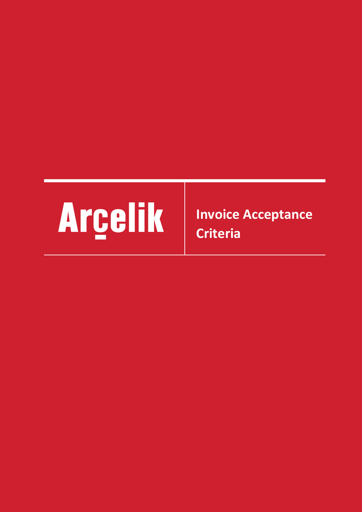

**Invoice Acceptance Criteria**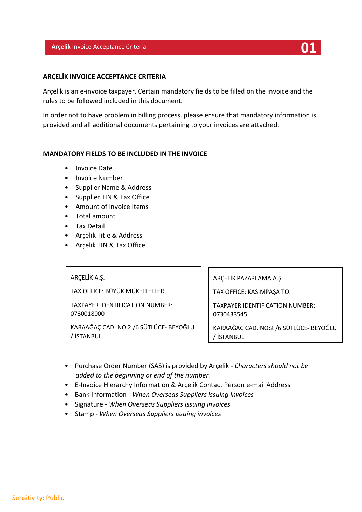### **Arçelik** Invoice Acceptance Criteria **01**

# **ARÇELİK INVOICE ACCEPTANCE CRITERIA**

Arçelik is an e-invoice taxpayer. Certain mandatory fields to be filled on the invoice and the rules to be followed included in this document.

In order not to have problem in billing process, please ensure that mandatory information is provided and all additional documents pertaining to your invoices are attached.

### **MANDATORY FIELDS TO BE INCLUDED IN THE INVOICE**

- Invoice Date
- Invoice Number
- Supplier Name & Address
- Supplier TIN & Tax Office
- Amount of Invoice Items
- Total amount
- Tax Detail
- Arçelik Title & Address
- Arçelik TIN & Tax Office

### ARÇELİK A.Ş.

TAX OFFICE: BÜYÜK MÜKELLEFLER

TAXPAYER IDENTIFICATION NUMBER: 0730018000

KARAAĞAÇ CAD. NO:2 /6 SÜTLÜCE- BEYOĞLU / İSTANBUL

ARÇELİK PAZARLAMA A.Ş.

TAX OFFICE: KASIMPAŞA TO.

TAXPAYER IDENTIFICATION NUMBER: 0730433545

KARAAĞAÇ CAD. NO:2 /6 SÜTLÜCE- BEYOĞLU / İSTANBUL

- Purchase Order Number (SAS) is provided by Arçelik *Characters should not be added to the beginning or end of the number.*
- E-Invoice Hierarchy Information & Arçelik Contact Person e-mail Address
- Bank Information *When Overseas Suppliers issuing invoices*
- Signature *When Overseas Suppliers issuing invoices*
- Stamp *When Overseas Suppliers issuing invoices*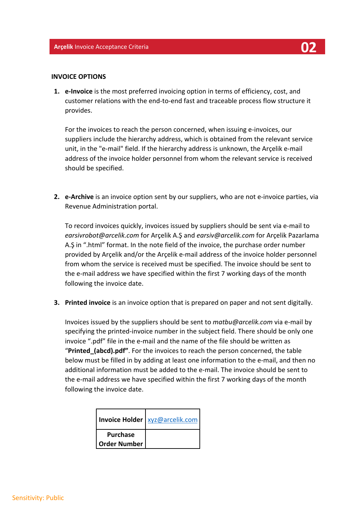#### **INVOICE OPTIONS**

**1. e-Invoice** is the most preferred invoicing option in terms of efficiency, cost, and customer relations with the end-to-end fast and traceable process flow structure it provides.

For the invoices to reach the person concerned, when issuing e-invoices, our suppliers include the hierarchy address, which is obtained from the relevant service unit, in the "e-mail" field. If the hierarchy address is unknown, the Arçelik e-mail address of the invoice holder personnel from whom the relevant service is received should be specified.

**2. e-Archive** is an invoice option sent by our suppliers, who are not e-invoice parties, via Revenue Administration portal.

To record invoices quickly, invoices issued by suppliers should be sent via e-mail to *earsivrobot@arcelik.com* for Arçelik A.Ş and *earsiv@arcelik.com* for Arçelik Pazarlama A.Ş in ".html" format. In the note field of the invoice, the purchase order number provided by Arçelik and/or the Arçelik e-mail address of the invoice holder personnel from whom the service is received must be specified. The invoice should be sent to the e-mail address we have specified within the first 7 working days of the month following the invoice date.

**3. Printed invoice** is an invoice option that is prepared on paper and not sent digitally.

Invoices issued by the suppliers should be sent to *matbu@arcelik.com* via e-mail by specifying the printed-invoice number in the subject field. There should be only one invoice ".pdf" file in the e-mail and the name of the file should be written as "**Printed\_(abcd).pdf"**. For the invoices to reach the person concerned, the table below must be filled in by adding at least one information to the e-mail, and then no additional information must be added to the e-mail. The invoice should be sent to the e-mail address we have specified within the first 7 working days of the month following the invoice date.

|                                        | <b>Invoice Holder</b>   xyz@arcelik.com |
|----------------------------------------|-----------------------------------------|
| <b>Purchase</b><br><b>Order Number</b> |                                         |